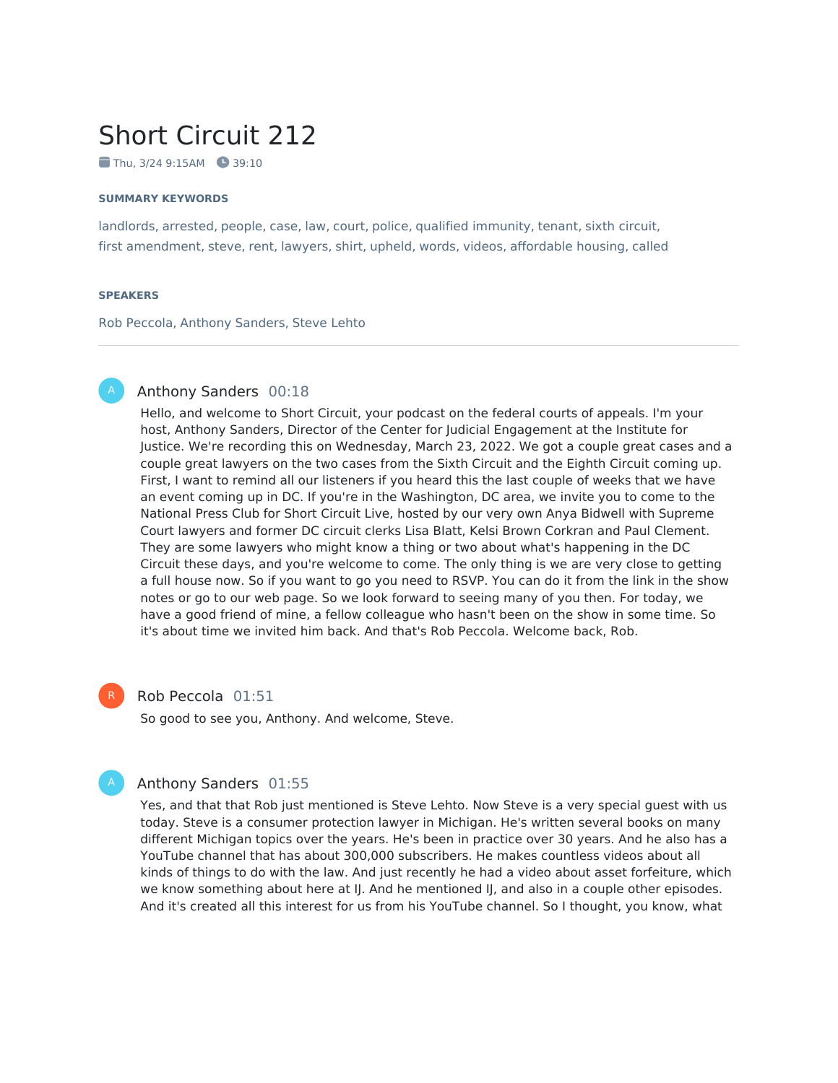# Short Circuit 212

 $\blacksquare$  Thu, 3/24 9:15AM  $\blacksquare$  39:10

#### **SUMMARY KEYWORDS**

landlords, arrested, people, case, law, court, police, qualified immunity, tenant, sixth circuit, first amendment, steve, rent, lawyers, shirt, upheld, words, videos, affordable housing, called

#### **SPEAKERS**

Rob Peccola, Anthony Sanders, Steve Lehto

#### Anthony Sanders 00:18

Hello, and welcome to Short Circuit, your podcast on the federal courts of appeals. I'm your host, Anthony Sanders, Director of the Center for Judicial Engagement at the Institute for Justice. We're recording this on Wednesday, March 23, 2022. We got a couple great cases and a couple great lawyers on the two cases from the Sixth Circuit and the Eighth Circuit coming up. First, I want to remind all our listeners if you heard this the last couple of weeks that we have an event coming up in DC. If you're in the Washington, DC area, we invite you to come to the National Press Club for Short Circuit Live, hosted by our very own Anya Bidwell with Supreme Court lawyers and former DC circuit clerks Lisa Blatt, Kelsi Brown Corkran and Paul Clement. They are some lawyers who might know a thing or two about what's happening in the DC Circuit these days, and you're welcome to come. The only thing is we are very close to getting a full house now. So if you want to go you need to RSVP. You can do it from the link in the show notes or go to our web page. So we look forward to seeing many of you then. For today, we have a good friend of mine, a fellow colleague who hasn't been on the show in some time. So it's about time we invited him back. And that's Rob Peccola. Welcome back, Rob.

R

#### Rob Peccola 01:51

So good to see you, Anthony. And welcome, Steve.

#### Anthony Sanders 01:55

Yes, and that that Rob just mentioned is Steve Lehto. Now Steve is a very special guest with us today. Steve is a consumer protection lawyer in Michigan. He's written several books on many different Michigan topics over the years. He's been in practice over 30 years. And he also has a YouTube channel that has about 300,000 subscribers. He makes countless videos about all kinds of things to do with the law. And just recently he had a video about asset forfeiture, which we know something about here at IJ. And he mentioned IJ, and also in a couple other episodes. And it's created all this interest for us from his YouTube channel. So I thought, you know, what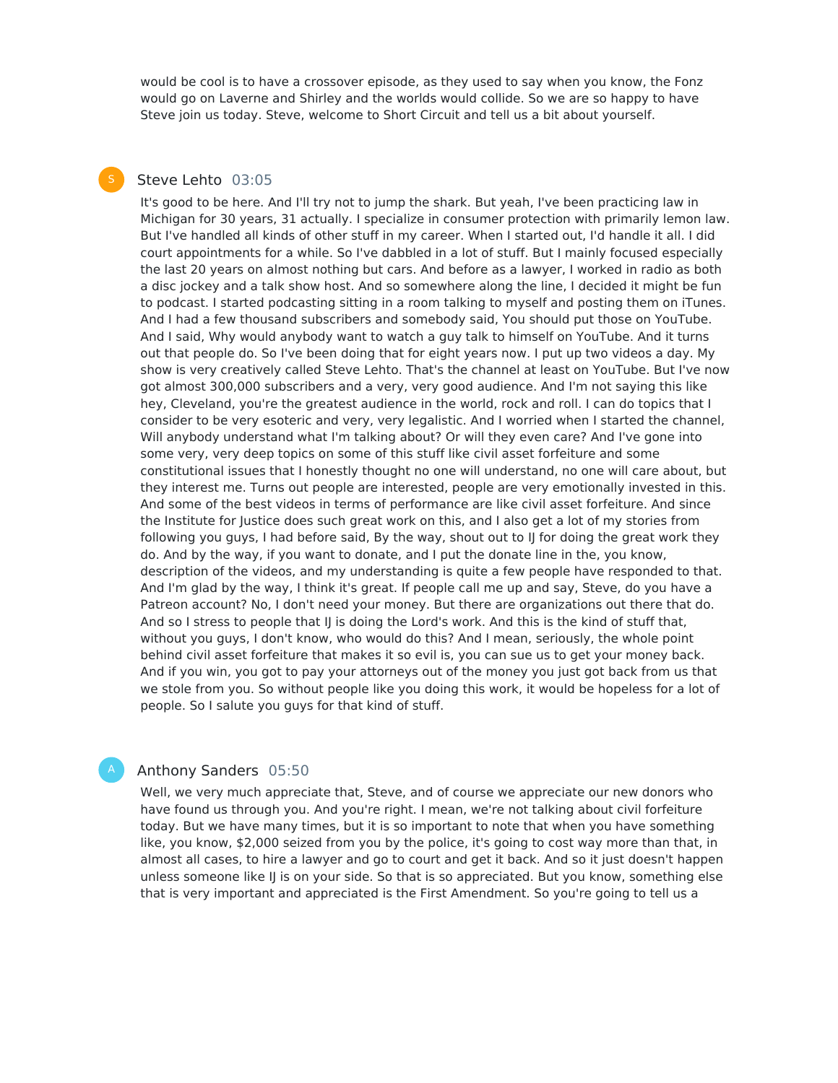would be cool is to have a crossover episode, as they used to say when you know, the Fonz would go on Laverne and Shirley and the worlds would collide. So we are so happy to have Steve join us today. Steve, welcome to Short Circuit and tell us a bit about yourself.

## Steve Lehto 03:05

It's good to be here. And I'll try not to jump the shark. But yeah, I've been practicing law in Michigan for 30 years, 31 actually. I specialize in consumer protection with primarily lemon law. But I've handled all kinds of other stuff in my career. When I started out, I'd handle it all. I did court appointments for a while. So I've dabbled in a lot of stuff. But I mainly focused especially the last 20 years on almost nothing but cars. And before as a lawyer, I worked in radio as both a disc jockey and a talk show host. And so somewhere along the line, I decided it might be fun to podcast. I started podcasting sitting in a room talking to myself and posting them on iTunes. And I had a few thousand subscribers and somebody said, You should put those on YouTube. And I said, Why would anybody want to watch a guy talk to himself on YouTube. And it turns out that people do. So I've been doing that for eight years now. I put up two videos a day. My show is very creatively called Steve Lehto. That's the channel at least on YouTube. But I've now got almost 300,000 subscribers and a very, very good audience. And I'm not saying this like hey, Cleveland, you're the greatest audience in the world, rock and roll. I can do topics that I consider to be very esoteric and very, very legalistic. And I worried when I started the channel, Will anybody understand what I'm talking about? Or will they even care? And I've gone into some very, very deep topics on some of this stuff like civil asset forfeiture and some constitutional issues that I honestly thought no one will understand, no one will care about, but they interest me. Turns out people are interested, people are very emotionally invested in this. And some of the best videos in terms of performance are like civil asset forfeiture. And since the Institute for Justice does such great work on this, and I also get a lot of my stories from following you guys, I had before said, By the way, shout out to IJ for doing the great work they do. And by the way, if you want to donate, and I put the donate line in the, you know, description of the videos, and my understanding is quite a few people have responded to that. And I'm glad by the way, I think it's great. If people call me up and say, Steve, do you have a Patreon account? No, I don't need your money. But there are organizations out there that do. And so I stress to people that IJ is doing the Lord's work. And this is the kind of stuff that, without you guys, I don't know, who would do this? And I mean, seriously, the whole point behind civil asset forfeiture that makes it so evil is, you can sue us to get your money back. And if you win, you got to pay your attorneys out of the money you just got back from us that we stole from you. So without people like you doing this work, it would be hopeless for a lot of people. So I salute you guys for that kind of stuff.

### Anthony Sanders 05:50

Well, we very much appreciate that, Steve, and of course we appreciate our new donors who have found us through you. And you're right. I mean, we're not talking about civil forfeiture today. But we have many times, but it is so important to note that when you have something like, you know, \$2,000 seized from you by the police, it's going to cost way more than that, in almost all cases, to hire a lawyer and go to court and get it back. And so it just doesn't happen unless someone like IJ is on your side. So that is so appreciated. But you know, something else that is very important and appreciated is the First Amendment. So you're going to tell us a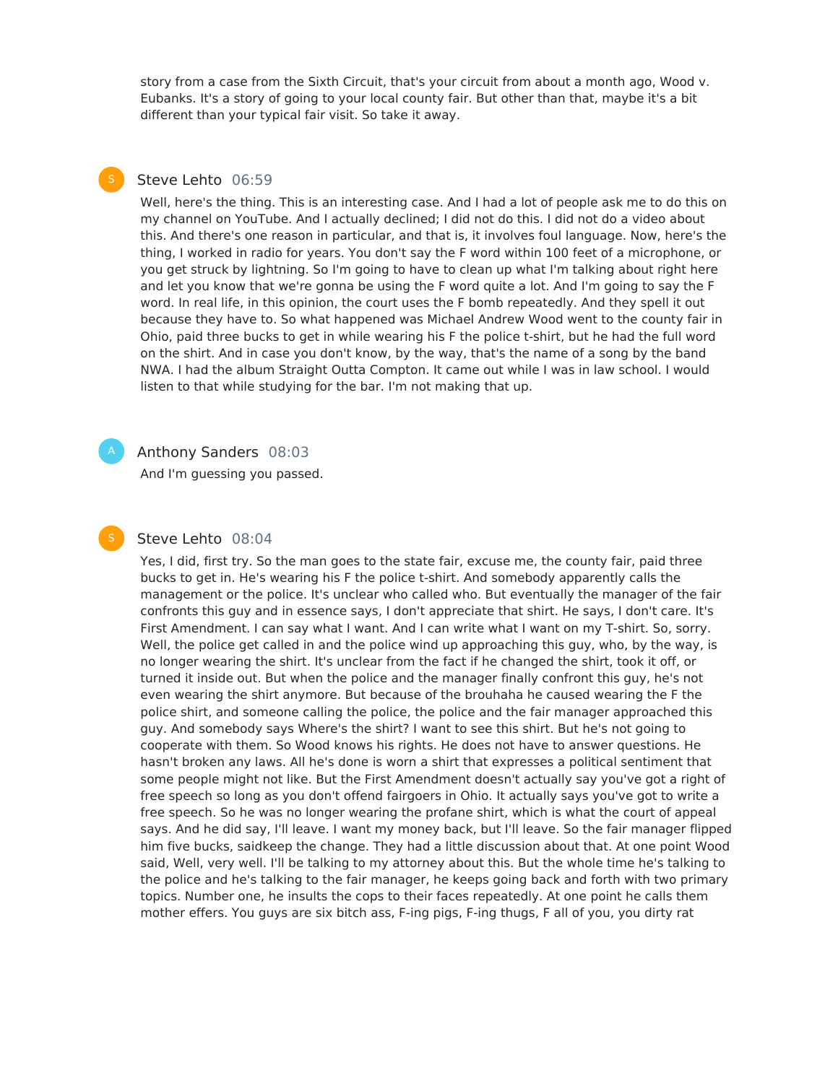story from a case from the Sixth Circuit, that's your circuit from about a month ago, Wood v. Eubanks. It's a story of going to your local county fair. But other than that, maybe it's a bit different than your typical fair visit. So take it away.

## Steve Lehto 06:59

Well, here's the thing. This is an interesting case. And I had a lot of people ask me to do this on my channel on YouTube. And I actually declined; I did not do this. I did not do a video about this. And there's one reason in particular, and that is, it involves foul language. Now, here's the thing, I worked in radio for years. You don't say the F word within 100 feet of a microphone, or you get struck by lightning. So I'm going to have to clean up what I'm talking about right here and let you know that we're gonna be using the F word quite a lot. And I'm going to say the F word. In real life, in this opinion, the court uses the F bomb repeatedly. And they spell it out because they have to. So what happened was Michael Andrew Wood went to the county fair in Ohio, paid three bucks to get in while wearing his F the police t-shirt, but he had the full word on the shirt. And in case you don't know, by the way, that's the name of a song by the band NWA. I had the album Straight Outta Compton. It came out while I was in law school. I would listen to that while studying for the bar. I'm not making that up.

#### Anthony Sanders 08:03

And I'm guessing you passed.

#### Steve Lehto 08:04

Yes, I did, first try. So the man goes to the state fair, excuse me, the county fair, paid three bucks to get in. He's wearing his F the police t-shirt. And somebody apparently calls the management or the police. It's unclear who called who. But eventually the manager of the fair confronts this guy and in essence says, I don't appreciate that shirt. He says, I don't care. It's First Amendment. I can say what I want. And I can write what I want on my T-shirt. So, sorry. Well, the police get called in and the police wind up approaching this guy, who, by the way, is no longer wearing the shirt. It's unclear from the fact if he changed the shirt, took it off, or turned it inside out. But when the police and the manager finally confront this guy, he's not even wearing the shirt anymore. But because of the brouhaha he caused wearing the F the police shirt, and someone calling the police, the police and the fair manager approached this guy. And somebody says Where's the shirt? I want to see this shirt. But he's not going to cooperate with them. So Wood knows his rights. He does not have to answer questions. He hasn't broken any laws. All he's done is worn a shirt that expresses a political sentiment that some people might not like. But the First Amendment doesn't actually say you've got a right of free speech so long as you don't offend fairgoers in Ohio. It actually says you've got to write a free speech. So he was no longer wearing the profane shirt, which is what the court of appeal says. And he did say, I'll leave. I want my money back, but I'll leave. So the fair manager flipped him five bucks, saidkeep the change. They had a little discussion about that. At one point Wood said, Well, very well. I'll be talking to my attorney about this. But the whole time he's talking to the police and he's talking to the fair manager, he keeps going back and forth with two primary topics. Number one, he insults the cops to their faces repeatedly. At one point he calls them mother effers. You guys are six bitch ass, F-ing pigs, F-ing thugs, F all of you, you dirty rat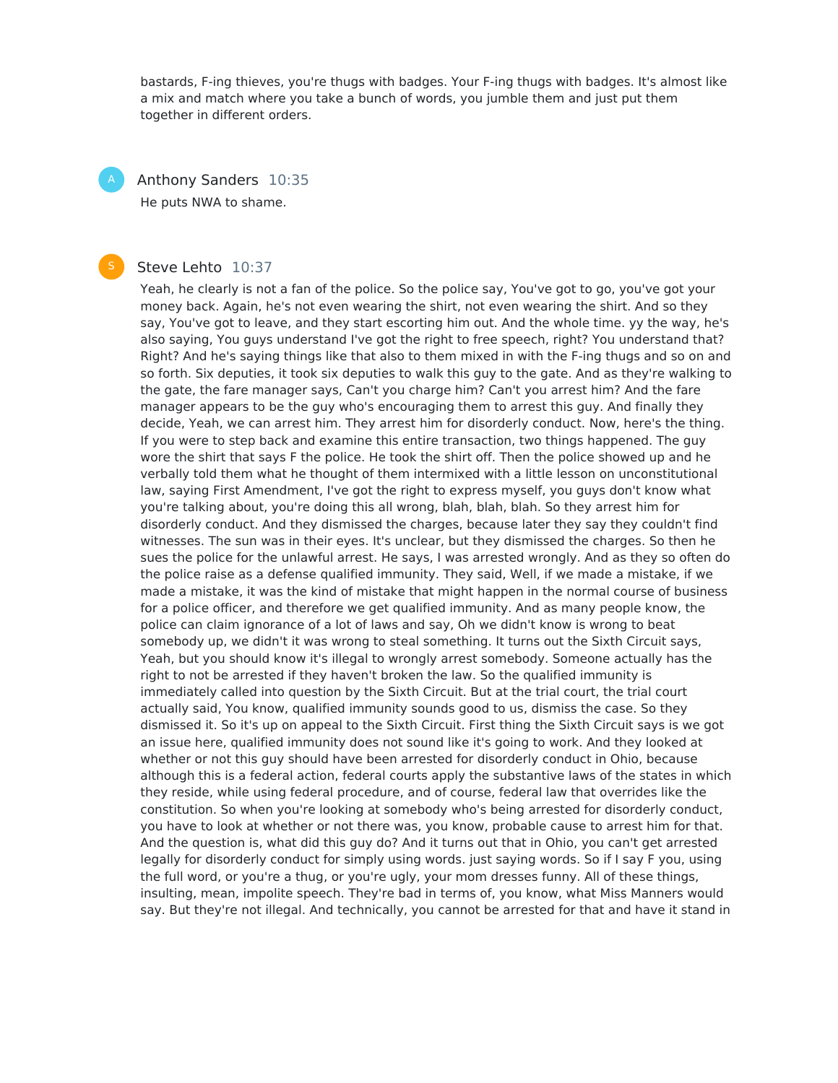bastards, F-ing thieves, you're thugs with badges. Your F-ing thugs with badges. It's almost like a mix and match where you take a bunch of words, you jumble them and just put them together in different orders.

Anthony Sanders 10:35 He puts NWA to shame.

#### Steve Lehto 10:37

Yeah, he clearly is not a fan of the police. So the police say, You've got to go, you've got your money back. Again, he's not even wearing the shirt, not even wearing the shirt. And so they say, You've got to leave, and they start escorting him out. And the whole time. yy the way, he's also saying, You guys understand I've got the right to free speech, right? You understand that? Right? And he's saying things like that also to them mixed in with the F-ing thugs and so on and so forth. Six deputies, it took six deputies to walk this guy to the gate. And as they're walking to the gate, the fare manager says, Can't you charge him? Can't you arrest him? And the fare manager appears to be the guy who's encouraging them to arrest this guy. And finally they decide, Yeah, we can arrest him. They arrest him for disorderly conduct. Now, here's the thing. If you were to step back and examine this entire transaction, two things happened. The guy wore the shirt that says F the police. He took the shirt off. Then the police showed up and he verbally told them what he thought of them intermixed with a little lesson on unconstitutional law, saying First Amendment, I've got the right to express myself, you guys don't know what you're talking about, you're doing this all wrong, blah, blah, blah. So they arrest him for disorderly conduct. And they dismissed the charges, because later they say they couldn't find witnesses. The sun was in their eyes. It's unclear, but they dismissed the charges. So then he sues the police for the unlawful arrest. He says, I was arrested wrongly. And as they so often do the police raise as a defense qualified immunity. They said, Well, if we made a mistake, if we made a mistake, it was the kind of mistake that might happen in the normal course of business for a police officer, and therefore we get qualified immunity. And as many people know, the police can claim ignorance of a lot of laws and say, Oh we didn't know is wrong to beat somebody up, we didn't it was wrong to steal something. It turns out the Sixth Circuit says, Yeah, but you should know it's illegal to wrongly arrest somebody. Someone actually has the right to not be arrested if they haven't broken the law. So the qualified immunity is immediately called into question by the Sixth Circuit. But at the trial court, the trial court actually said, You know, qualified immunity sounds good to us, dismiss the case. So they dismissed it. So it's up on appeal to the Sixth Circuit. First thing the Sixth Circuit says is we got an issue here, qualified immunity does not sound like it's going to work. And they looked at whether or not this guy should have been arrested for disorderly conduct in Ohio, because although this is a federal action, federal courts apply the substantive laws of the states in which they reside, while using federal procedure, and of course, federal law that overrides like the constitution. So when you're looking at somebody who's being arrested for disorderly conduct, you have to look at whether or not there was, you know, probable cause to arrest him for that. And the question is, what did this guy do? And it turns out that in Ohio, you can't get arrested legally for disorderly conduct for simply using words. just saying words. So if I say F you, using the full word, or you're a thug, or you're ugly, your mom dresses funny. All of these things, insulting, mean, impolite speech. They're bad in terms of, you know, what Miss Manners would say. But they're not illegal. And technically, you cannot be arrested for that and have it stand in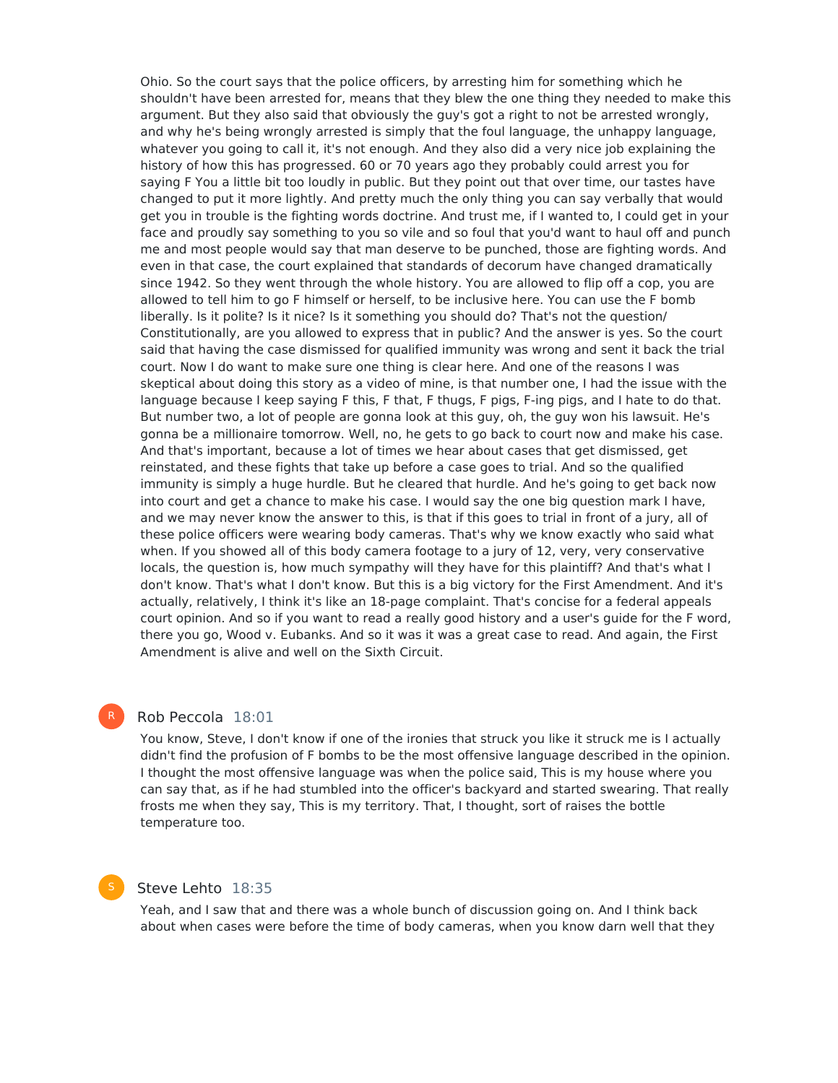Ohio. So the court says that the police officers, by arresting him for something which he shouldn't have been arrested for, means that they blew the one thing they needed to make this argument. But they also said that obviously the guy's got a right to not be arrested wrongly, and why he's being wrongly arrested is simply that the foul language, the unhappy language, whatever you going to call it, it's not enough. And they also did a very nice job explaining the history of how this has progressed. 60 or 70 years ago they probably could arrest you for saying F You a little bit too loudly in public. But they point out that over time, our tastes have changed to put it more lightly. And pretty much the only thing you can say verbally that would get you in trouble is the fighting words doctrine. And trust me, if I wanted to, I could get in your face and proudly say something to you so vile and so foul that you'd want to haul off and punch me and most people would say that man deserve to be punched, those are fighting words. And even in that case, the court explained that standards of decorum have changed dramatically since 1942. So they went through the whole history. You are allowed to flip off a cop, you are allowed to tell him to go F himself or herself, to be inclusive here. You can use the F bomb liberally. Is it polite? Is it nice? Is it something you should do? That's not the question/ Constitutionally, are you allowed to express that in public? And the answer is yes. So the court said that having the case dismissed for qualified immunity was wrong and sent it back the trial court. Now I do want to make sure one thing is clear here. And one of the reasons I was skeptical about doing this story as a video of mine, is that number one, I had the issue with the language because I keep saying F this, F that, F thugs, F pigs, F-ing pigs, and I hate to do that. But number two, a lot of people are gonna look at this guy, oh, the guy won his lawsuit. He's gonna be a millionaire tomorrow. Well, no, he gets to go back to court now and make his case. And that's important, because a lot of times we hear about cases that get dismissed, get reinstated, and these fights that take up before a case goes to trial. And so the qualified immunity is simply a huge hurdle. But he cleared that hurdle. And he's going to get back now into court and get a chance to make his case. I would say the one big question mark I have, and we may never know the answer to this, is that if this goes to trial in front of a jury, all of these police officers were wearing body cameras. That's why we know exactly who said what when. If you showed all of this body camera footage to a jury of 12, very, very conservative locals, the question is, how much sympathy will they have for this plaintiff? And that's what I don't know. That's what I don't know. But this is a big victory for the First Amendment. And it's actually, relatively, I think it's like an 18-page complaint. That's concise for a federal appeals court opinion. And so if you want to read a really good history and a user's guide for the F word, there you go, Wood v. Eubanks. And so it was it was a great case to read. And again, the First Amendment is alive and well on the Sixth Circuit.

#### Rob Peccola 18:01

R

You know, Steve, I don't know if one of the ironies that struck you like it struck me is I actually didn't find the profusion of F bombs to be the most offensive language described in the opinion. I thought the most offensive language was when the police said, This is my house where you can say that, as if he had stumbled into the officer's backyard and started swearing. That really frosts me when they say, This is my territory. That, I thought, sort of raises the bottle temperature too.

# Steve Lehto 18:35

Yeah, and I saw that and there was a whole bunch of discussion going on. And I think back about when cases were before the time of body cameras, when you know darn well that they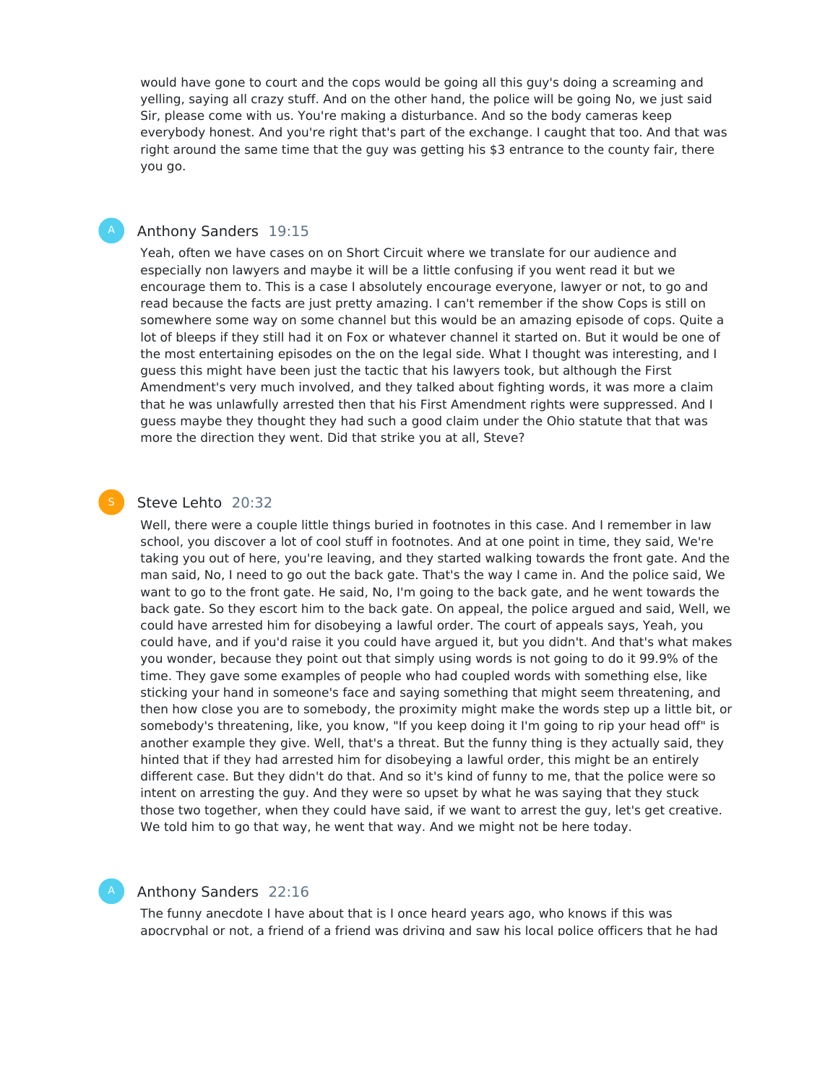would have gone to court and the cops would be going all this guy's doing a screaming and yelling, saying all crazy stuff. And on the other hand, the police will be going No, we just said Sir, please come with us. You're making a disturbance. And so the body cameras keep everybody honest. And you're right that's part of the exchange. I caught that too. And that was right around the same time that the guy was getting his \$3 entrance to the county fair, there you go.

#### Anthony Sanders 19:15

Yeah, often we have cases on on Short Circuit where we translate for our audience and especially non lawyers and maybe it will be a little confusing if you went read it but we encourage them to. This is a case I absolutely encourage everyone, lawyer or not, to go and read because the facts are just pretty amazing. I can't remember if the show Cops is still on somewhere some way on some channel but this would be an amazing episode of cops. Quite a lot of bleeps if they still had it on Fox or whatever channel it started on. But it would be one of the most entertaining episodes on the on the legal side. What I thought was interesting, and I guess this might have been just the tactic that his lawyers took, but although the First Amendment's very much involved, and they talked about fighting words, it was more a claim that he was unlawfully arrested then that his First Amendment rights were suppressed. And I guess maybe they thought they had such a good claim under the Ohio statute that that was more the direction they went. Did that strike you at all, Steve?

#### Steve Lehto 20:32

Well, there were a couple little things buried in footnotes in this case. And I remember in law school, you discover a lot of cool stuff in footnotes. And at one point in time, they said, We're taking you out of here, you're leaving, and they started walking towards the front gate. And the man said, No, I need to go out the back gate. That's the way I came in. And the police said, We want to go to the front gate. He said, No, I'm going to the back gate, and he went towards the back gate. So they escort him to the back gate. On appeal, the police argued and said, Well, we could have arrested him for disobeying a lawful order. The court of appeals says, Yeah, you could have, and if you'd raise it you could have argued it, but you didn't. And that's what makes you wonder, because they point out that simply using words is not going to do it 99.9% of the time. They gave some examples of people who had coupled words with something else, like sticking your hand in someone's face and saying something that might seem threatening, and then how close you are to somebody, the proximity might make the words step up a little bit, or somebody's threatening, like, you know, "If you keep doing it I'm going to rip your head off" is another example they give. Well, that's a threat. But the funny thing is they actually said, they hinted that if they had arrested him for disobeying a lawful order, this might be an entirely different case. But they didn't do that. And so it's kind of funny to me, that the police were so intent on arresting the guy. And they were so upset by what he was saying that they stuck those two together, when they could have said, if we want to arrest the guy, let's get creative. We told him to go that way, he went that way. And we might not be here today.

#### Anthony Sanders 22:16

The funny anecdote I have about that is I once heard years ago, who knows if this was apocryphal or not, a friend of a friend was driving and saw his local police officers that he had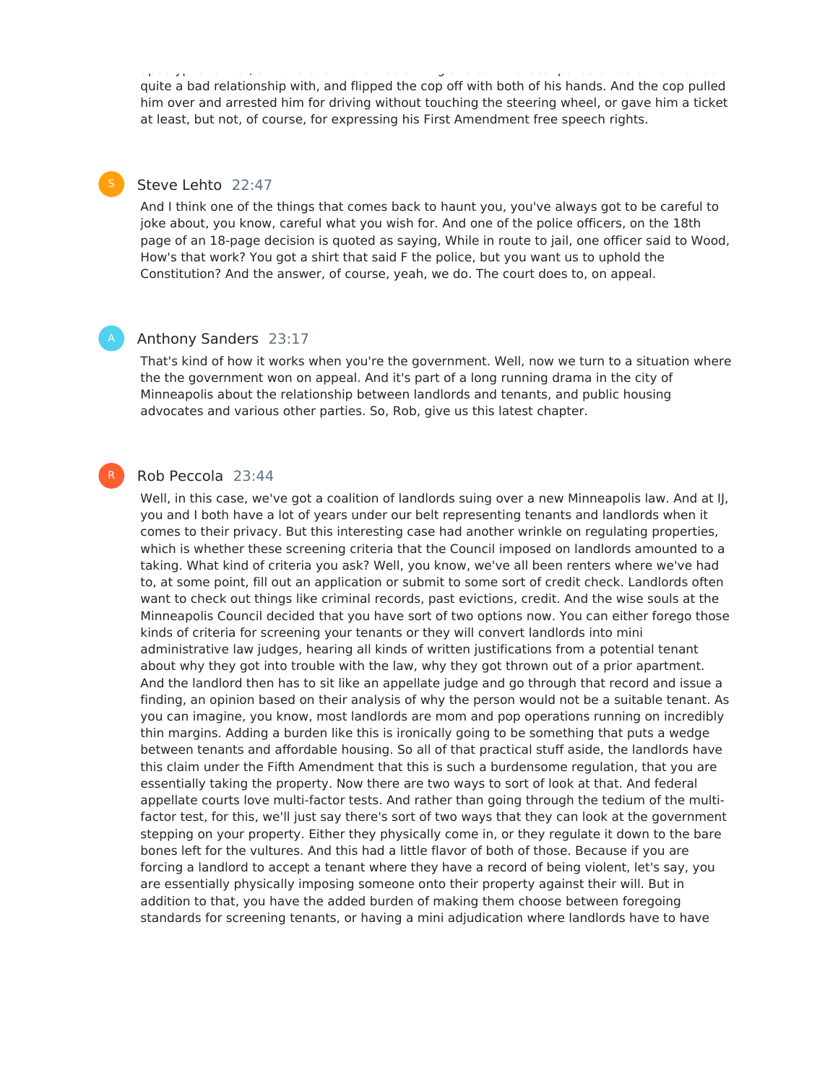apocryphal or not, a friend was driving and saw his local police of and saw his local police of interest that h quite a bad relationship with, and flipped the cop off with both of his hands. And the cop pulled him over and arrested him for driving without touching the steering wheel, or gave him a ticket at least, but not, of course, for expressing his First Amendment free speech rights.

### Steve Lehto 22:47

And I think one of the things that comes back to haunt you, you've always got to be careful to joke about, you know, careful what you wish for. And one of the police officers, on the 18th page of an 18-page decision is quoted as saying, While in route to jail, one officer said to Wood, How's that work? You got a shirt that said F the police, but you want us to uphold the Constitution? And the answer, of course, yeah, we do. The court does to, on appeal.

#### Anthony Sanders 23:17

That's kind of how it works when you're the government. Well, now we turn to a situation where the the government won on appeal. And it's part of a long running drama in the city of Minneapolis about the relationship between landlords and tenants, and public housing advocates and various other parties. So, Rob, give us this latest chapter.

#### Rob Peccola 23:44

R

Well, in this case, we've got a coalition of landlords suing over a new Minneapolis law. And at II, you and I both have a lot of years under our belt representing tenants and landlords when it comes to their privacy. But this interesting case had another wrinkle on regulating properties, which is whether these screening criteria that the Council imposed on landlords amounted to a taking. What kind of criteria you ask? Well, you know, we've all been renters where we've had to, at some point, fill out an application or submit to some sort of credit check. Landlords often want to check out things like criminal records, past evictions, credit. And the wise souls at the Minneapolis Council decided that you have sort of two options now. You can either forego those kinds of criteria for screening your tenants or they will convert landlords into mini administrative law judges, hearing all kinds of written justifications from a potential tenant about why they got into trouble with the law, why they got thrown out of a prior apartment. And the landlord then has to sit like an appellate judge and go through that record and issue a finding, an opinion based on their analysis of why the person would not be a suitable tenant. As you can imagine, you know, most landlords are mom and pop operations running on incredibly thin margins. Adding a burden like this is ironically going to be something that puts a wedge between tenants and affordable housing. So all of that practical stuff aside, the landlords have this claim under the Fifth Amendment that this is such a burdensome regulation, that you are essentially taking the property. Now there are two ways to sort of look at that. And federal appellate courts love multi-factor tests. And rather than going through the tedium of the multifactor test, for this, we'll just say there's sort of two ways that they can look at the government stepping on your property. Either they physically come in, or they regulate it down to the bare bones left for the vultures. And this had a little flavor of both of those. Because if you are forcing a landlord to accept a tenant where they have a record of being violent, let's say, you are essentially physically imposing someone onto their property against their will. But in addition to that, you have the added burden of making them choose between foregoing standards for screening tenants, or having a mini adjudication where landlords have to have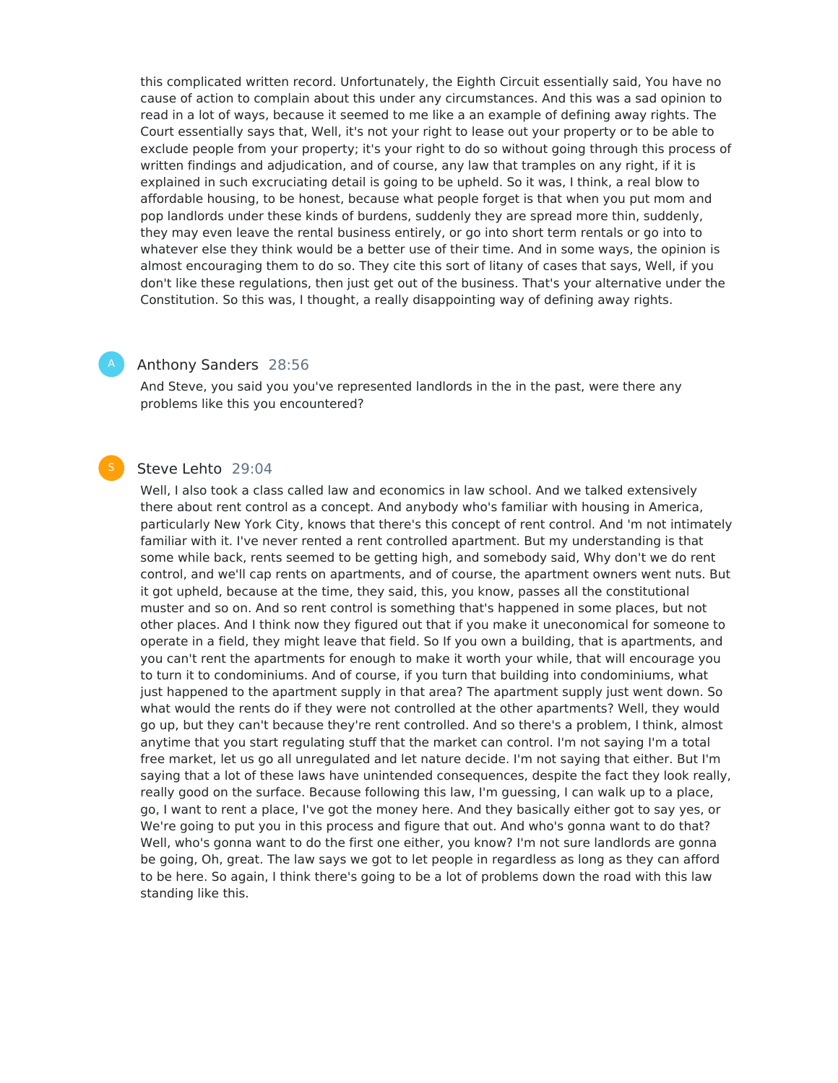this complicated written record. Unfortunately, the Eighth Circuit essentially said, You have no cause of action to complain about this under any circumstances. And this was a sad opinion to read in a lot of ways, because it seemed to me like a an example of defining away rights. The Court essentially says that, Well, it's not your right to lease out your property or to be able to exclude people from your property; it's your right to do so without going through this process of written findings and adjudication, and of course, any law that tramples on any right, if it is explained in such excruciating detail is going to be upheld. So it was, I think, a real blow to affordable housing, to be honest, because what people forget is that when you put mom and pop landlords under these kinds of burdens, suddenly they are spread more thin, suddenly, they may even leave the rental business entirely, or go into short term rentals or go into to whatever else they think would be a better use of their time. And in some ways, the opinion is almost encouraging them to do so. They cite this sort of litany of cases that says, Well, if you don't like these regulations, then just get out of the business. That's your alternative under the Constitution. So this was, I thought, a really disappointing way of defining away rights.

#### Anthony Sanders 28:56

And Steve, you said you you've represented landlords in the in the past, were there any problems like this you encountered?

#### Steve Lehto 29:04

Well, I also took a class called law and economics in law school. And we talked extensively there about rent control as a concept. And anybody who's familiar with housing in America, particularly New York City, knows that there's this concept of rent control. And 'm not intimately familiar with it. I've never rented a rent controlled apartment. But my understanding is that some while back, rents seemed to be getting high, and somebody said, Why don't we do rent control, and we'll cap rents on apartments, and of course, the apartment owners went nuts. But it got upheld, because at the time, they said, this, you know, passes all the constitutional muster and so on. And so rent control is something that's happened in some places, but not other places. And I think now they figured out that if you make it uneconomical for someone to operate in a field, they might leave that field. So If you own a building, that is apartments, and you can't rent the apartments for enough to make it worth your while, that will encourage you to turn it to condominiums. And of course, if you turn that building into condominiums, what just happened to the apartment supply in that area? The apartment supply just went down. So what would the rents do if they were not controlled at the other apartments? Well, they would go up, but they can't because they're rent controlled. And so there's a problem, I think, almost anytime that you start regulating stuff that the market can control. I'm not saying I'm a total free market, let us go all unregulated and let nature decide. I'm not saying that either. But I'm saying that a lot of these laws have unintended consequences, despite the fact they look really, really good on the surface. Because following this law, I'm guessing, I can walk up to a place, go, I want to rent a place, I've got the money here. And they basically either got to say yes, or We're going to put you in this process and figure that out. And who's gonna want to do that? Well, who's gonna want to do the first one either, you know? I'm not sure landlords are gonna be going, Oh, great. The law says we got to let people in regardless as long as they can afford to be here. So again, I think there's going to be a lot of problems down the road with this law standing like this.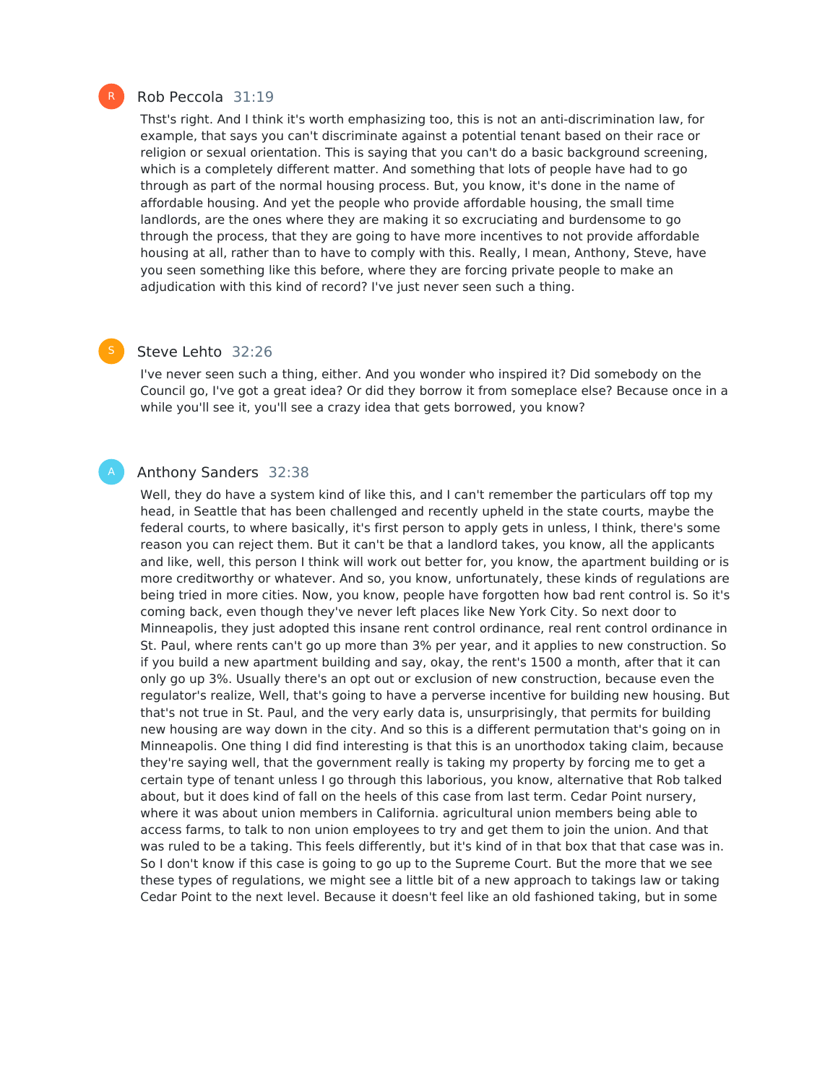#### Rob Peccola 31:19

Thst's right. And I think it's worth emphasizing too, this is not an anti-discrimination law, for example, that says you can't discriminate against a potential tenant based on their race or religion or sexual orientation. This is saying that you can't do a basic background screening, which is a completely different matter. And something that lots of people have had to go through as part of the normal housing process. But, you know, it's done in the name of affordable housing. And yet the people who provide affordable housing, the small time landlords, are the ones where they are making it so excruciating and burdensome to go through the process, that they are going to have more incentives to not provide affordable housing at all, rather than to have to comply with this. Really, I mean, Anthony, Steve, have you seen something like this before, where they are forcing private people to make an adjudication with this kind of record? I've just never seen such a thing.

#### Steve Lehto 32:26

I've never seen such a thing, either. And you wonder who inspired it? Did somebody on the Council go, I've got a great idea? Or did they borrow it from someplace else? Because once in a while you'll see it, you'll see a crazy idea that gets borrowed, you know?

#### Anthony Sanders 32:38

Well, they do have a system kind of like this, and I can't remember the particulars off top my head, in Seattle that has been challenged and recently upheld in the state courts, maybe the federal courts, to where basically, it's first person to apply gets in unless, I think, there's some reason you can reject them. But it can't be that a landlord takes, you know, all the applicants and like, well, this person I think will work out better for, you know, the apartment building or is more creditworthy or whatever. And so, you know, unfortunately, these kinds of regulations are being tried in more cities. Now, you know, people have forgotten how bad rent control is. So it's coming back, even though they've never left places like New York City. So next door to Minneapolis, they just adopted this insane rent control ordinance, real rent control ordinance in St. Paul, where rents can't go up more than 3% per year, and it applies to new construction. So if you build a new apartment building and say, okay, the rent's 1500 a month, after that it can only go up 3%. Usually there's an opt out or exclusion of new construction, because even the regulator's realize, Well, that's going to have a perverse incentive for building new housing. But that's not true in St. Paul, and the very early data is, unsurprisingly, that permits for building new housing are way down in the city. And so this is a different permutation that's going on in Minneapolis. One thing I did find interesting is that this is an unorthodox taking claim, because they're saying well, that the government really is taking my property by forcing me to get a certain type of tenant unless I go through this laborious, you know, alternative that Rob talked about, but it does kind of fall on the heels of this case from last term. Cedar Point nursery, where it was about union members in California. agricultural union members being able to access farms, to talk to non union employees to try and get them to join the union. And that was ruled to be a taking. This feels differently, but it's kind of in that box that that case was in. So I don't know if this case is going to go up to the Supreme Court. But the more that we see these types of regulations, we might see a little bit of a new approach to takings law or taking Cedar Point to the next level. Because it doesn't feel like an old fashioned taking, but in some

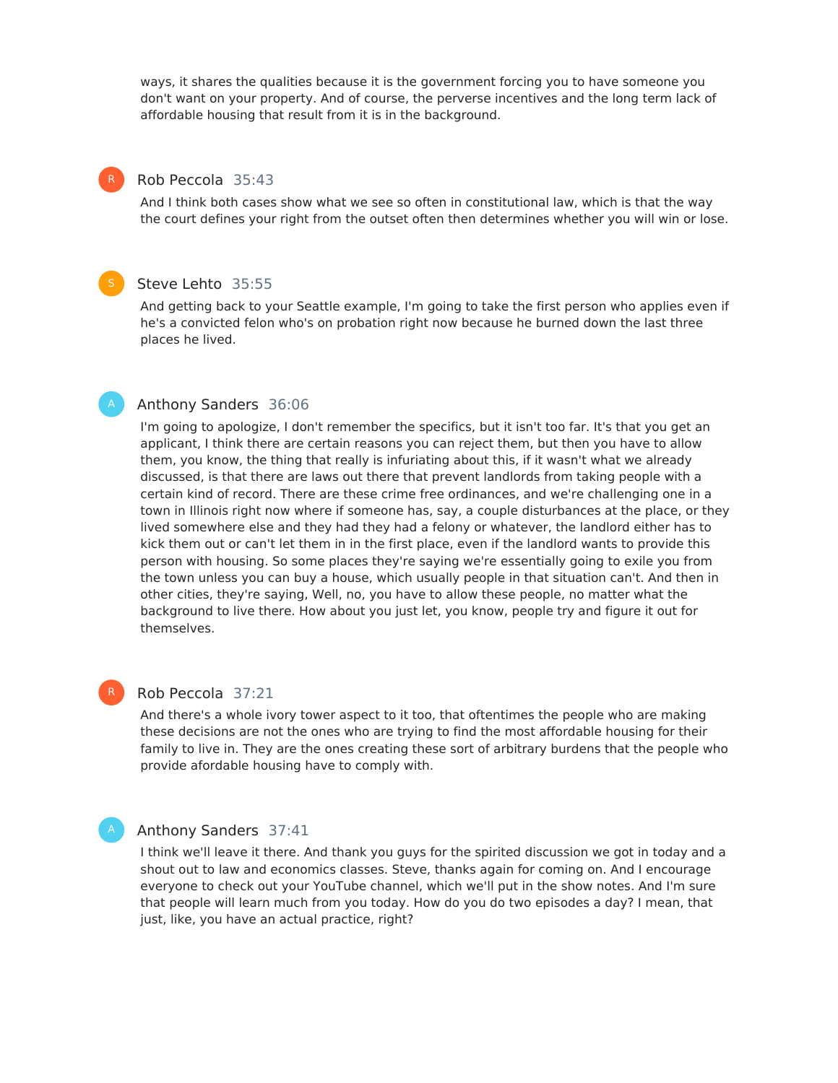ways, it shares the qualities because it is the government forcing you to have someone you don't want on your property. And of course, the perverse incentives and the long term lack of affordable housing that result from it is in the background.

#### Rob Peccola 35:43

R

And I think both cases show what we see so often in constitutional law, which is that the way the court defines your right from the outset often then determines whether you will win or lose.

#### Steve Lehto 35:55

And getting back to your Seattle example, I'm going to take the first person who applies even if he's a convicted felon who's on probation right now because he burned down the last three places he lived.

#### Anthony Sanders 36:06

I'm going to apologize, I don't remember the specifics, but it isn't too far. It's that you get an applicant, I think there are certain reasons you can reject them, but then you have to allow them, you know, the thing that really is infuriating about this, if it wasn't what we already discussed, is that there are laws out there that prevent landlords from taking people with a certain kind of record. There are these crime free ordinances, and we're challenging one in a town in Illinois right now where if someone has, say, a couple disturbances at the place, or they lived somewhere else and they had they had a felony or whatever, the landlord either has to kick them out or can't let them in in the first place, even if the landlord wants to provide this person with housing. So some places they're saying we're essentially going to exile you from the town unless you can buy a house, which usually people in that situation can't. And then in other cities, they're saying, Well, no, you have to allow these people, no matter what the background to live there. How about you just let, you know, people try and figure it out for themselves.

#### R

#### Rob Peccola 37:21

And there's a whole ivory tower aspect to it too, that oftentimes the people who are making these decisions are not the ones who are trying to find the most affordable housing for their family to live in. They are the ones creating these sort of arbitrary burdens that the people who provide afordable housing have to comply with.

#### Anthony Sanders 37:41

I think we'll leave it there. And thank you guys for the spirited discussion we got in today and a shout out to law and economics classes. Steve, thanks again for coming on. And I encourage everyone to check out your YouTube channel, which we'll put in the show notes. And I'm sure that people will learn much from you today. How do you do two episodes a day? I mean, that just, like, you have an actual practice, right?